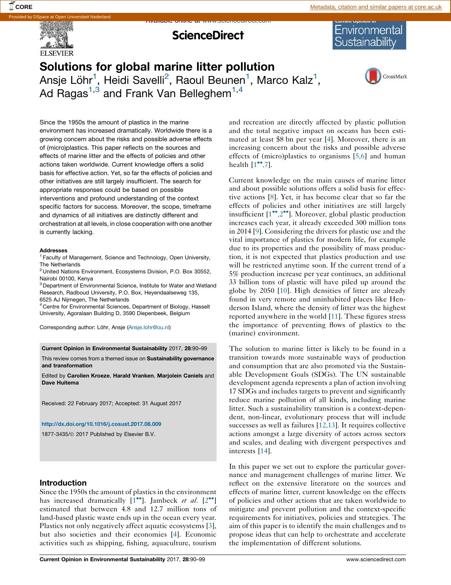

# **ScienceDirect**

Available online at [www.sciencedirect.com](http://www.sciencedirect.com/science/journal/18773435)



# Solutions for global marine litter pollution Ansje Löhr<sup>1</sup>, Heidi Savelli<sup>2</sup>, Raoul Beunen<sup>1</sup>, Marco Kalz<sup>1</sup>, Ad Ragas<sup>1,3</sup> and Frank Van Belleghem<sup>1,4</sup>



Since the 1950s the amount of plastics in the marine environment has increased dramatically. Worldwide there is a growing concern about the risks and possible adverse effects of (micro)plastics. This paper reflects on the sources and effects of marine litter and the effects of policies and other actions taken worldwide. Current knowledge offers a solid basis for effective action. Yet, so far the effects of policies and other initiatives are still largely insufficient. The search for appropriate responses could be based on possible interventions and profound understanding of the context specific factors for success. Moreover, the scope, timeframe and dynamics of all initiatives are distinctly different and orchestration at all levels, in close cooperation with one another is currently lacking.

#### Addresses

<sup>1</sup> Faculty of Management, Science and Technology, Open University, The Netherlands

<sup>2</sup> United Nations Environment, Ecosystems Division, P.O. Box 30552, Nairobi 00100, Kenya

<sup>3</sup> Department of Environmental Science, Institute for Water and Wetland Research, Radboud University, P.O. Box, Heyendaalseweg 135, 6525 AJ Nijmegen, The Netherlands

<sup>4</sup> Centre for Environmental Sciences, Department of Biology, Hasselt University, Agoralaan Building D, 3590 Diepenbeek, Belgium

Corresponding author: Löhr, Ansje ([Ansje.lohr@ou.nl\)](mailto:Ansje.lohr@ou.nl)

#### Current Opinion in Environmental Sustainability 2017, 28:90–99

This review comes from a themed issue on Sustainability governance and transformation

Edited by Carolien Kroeze, Harald Vranken, Marjolein Caniels and Dave Huitema

Received: 22 February 2017; Accepted: 31 August 2017

#### <http://dx.doi.org/10.1016/j.cosust.2017.08.009>

1877-3435/@ 2017 Published by Elsevier B.V.

# Introduction

Since the 1950s the amount of plastics in the environment has increased dramatically  $[1^{\bullet\bullet}]$ . [Jambeck](#page-7-0) *et al.*  $[2^{\bullet\bullet}]$ estimated that between 4.8 and 12.7 million tons of land-based plastic waste ends up in the ocean every year. Plastics not only negatively affect aquatic ecosystems [\[3](#page-7-0)], but also societies and their economies [\[4](#page-7-0)]. Economic activities such as shipping, fishing, aquaculture, tourism and recreation are directly affected by plastic pollution and the total negative impact on oceans has been estimated at least \$8 bn per year [\[4](#page-7-0)]. Moreover, there is an increasing concern about the risks and possible adverse effects of (micro)plastics to organisms [[5,6](#page-7-0)] and human health  $[1^{\bullet\bullet},7]$  $[1^{\bullet\bullet},7]$  $[1^{\bullet\bullet},7]$ .

Current knowledge on the main causes of marine litter and about possible solutions offers a solid basis for effective actions [\[8](#page-7-0)]. Yet, it has become clear that so far the effects of policies and other initiatives are still largely insufficient  $[1^{\bullet}, 2^{\bullet \bullet}]$ . Moreover, global plastic [production](#page-7-0) increases each year, it already exceeded 300 million tons in 2014 [[9\]](#page-7-0). Considering the drivers for plastic use and the vital importance of plastics for modern life, for example due to its properties and the possibility of mass production, it is not expected that plastics production and use will be restricted anytime soon. If the current trend of a 5% production increase per year continues, an additional 33 billion tons of plastic will have piled up around the globe by 2050 [\[10](#page-7-0)]. High densities of litter are already found in very remote and uninhabited places like Henderson Island, where the density of litter was the highest reported anywhere in the world [[11\]](#page-7-0). These figures stress the importance of preventing flows of plastics to the (marine) environment.

The solution to marine litter is likely to be found in a transition towards more sustainable ways of production and consumption that are also promoted via the Sustainable Development Goals (SDGs). The UN sustainable development agenda represents a plan of action involving 17 SDGs and includes targets to prevent and significantly reduce marine pollution of all kinds, including marine litter. Such a sustainability transition is a context-dependent, non-linear, evolutionary process that will include successes as well as failures [[12,13](#page-7-0)]. It requires collective actions amongst a large diversity of actors across sectors and scales, and dealing with divergent perspectives and interests [[14\]](#page-7-0).

In this paper we set out to explore the particular governance and management challenges of marine litter. We reflect on the extensive literature on the sources and effects of marine litter, current knowledge on the effects of policies and other actions that are taken worldwide to mitigate and prevent pollution and the context-specific requirements for initiatives, policies and strategies. The aim of this paper is to identify the main challenges and to propose ideas that can help to orchestrate and accelerate the implementation of different solutions.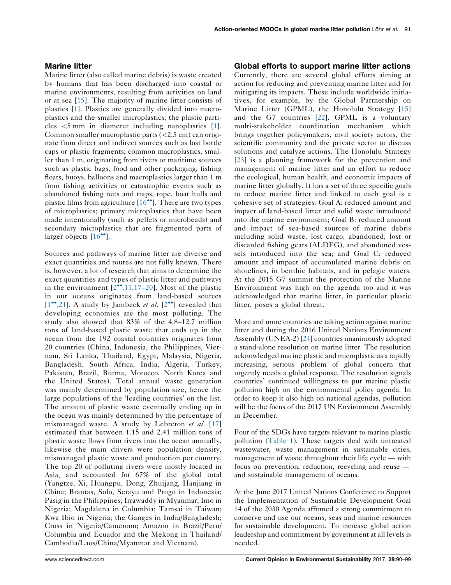# Marine litter

Marine litter (also called marine debris) is waste created by humans that has been discharged into coastal or marine environments, resulting from activities on land or at sea [[15](#page-7-0)]. The majority of marine litter consists of plastics [\[1\]](#page-7-0). Plastics are generally divided into macroplastics and the smaller microplastics; the plastic particles <5 mm in diameter including nanoplastics [\[1](#page-7-0)]. Common smaller macroplastic parts (<2.5 cm) can originate from direct and indirect sources such as lost bottle caps or plastic fragments; common macroplastics, smaller than 1 m, originating from rivers or maritime sources such as plastic bags, food and other packaging, fishing floats, buoys, balloons and macroplastics larger than 1 m from fishing activities or catastrophic events such as abandoned fishing nets and traps, rope, boat hulls and plastic films from agriculture  $[16<sup>•</sup>$ . [There](#page-7-0) are two types of microplastics; primary microplastics that have been made intentionally (such as pellets or microbeads) and secondary microplastics that are fragmented parts of larger objects  $[16$ <sup>\*\*</sup>].

Sources and pathways of marine litter are diverse and exact quantities and routes are not fully known. There is, however, a lot of research that aims to determine the exact quantities and types of plastic litter and pathways in the environment  $[2^{\bullet\bullet}, 11, 17-20]$ . Most of the plastic in our oceans originates from land-based sources  $[1^{\bullet\bullet},21]$  $[1^{\bullet\bullet},21]$  $[1^{\bullet\bullet},21]$ . A study by Jambeck *et al.*  $[2^{\bullet\bullet}]$  [revealed](#page-7-0) that developing economies are the most polluting. The study also showed that 83% of the 4.8–12.7 million tons of land-based plastic waste that ends up in the ocean from the 192 coastal countries originates from 20 countries (China, Indonesia, the Philippines, Vietnam, Sri Lanka, Thailand, Egypt, Malaysia, Nigeria, Bangladesh, South Africa, India, Algeria, Turkey, Pakistan, Brazil, Burma, Morocco, North Korea and the United States). Total annual waste generation was mainly determined by population size, hence the large populations of the 'leading countries' on the list. The amount of plastic waste eventually ending up in the ocean was mainly determined by the percentage of mismanaged waste. A study by Lebreton et al. [\[17\]](#page-7-0) estimated that between 1.15 and 2.41 million tons of plastic waste flows from rivers into the ocean annually, likewise the main drivers were population density, mismanaged plastic waste and production per country. The top 20 of polluting rivers were mostly located in Asia, and accounted for 67% of the global total (Yangtze, Xi, Huangpu, Dong, Zhuijang, Hanjiang in China; Brantas, Solo, Serayu and Progo in Indonesia; Pasig in the Philippines; Irrawaddy in Myanmar; Imo in Nigeria; Magdalena in Columbia; Tamsai in Taiwan; Kwa Ibio in Nigeria; the Ganges in India/Bangladesh; Cross in Nigeria/Cameroon; Amazon in Brazil/Peru/ Columbia and Ecuador and the Mekong in Thailand/ Cambodia/Laos/China/Myanmar and Vietnam).

# Global efforts to support marine litter actions

Currently, there are several global efforts aiming at action for reducing and preventing marine litter and for mitigating its impacts. These include worldwide initiatives, for example, by the Global Partnership on Marine Litter (GPML), the Honolulu Strategy [[15](#page-7-0)] and the G7 countries [[22\]](#page-7-0). GPML is a voluntary multi-stakeholder coordination mechanism which brings together policymakers, civil society actors, the scientific community and the private sector to discuss solutions and catalyze actions. The Honolulu Strategy [[23\]](#page-8-0) is a planning framework for the prevention and management of marine litter and an effort to reduce the ecological, human health, and economic impacts of marine litter globally. It has a set of three specific goals to reduce marine litter and linked to each goal is a cohesive set of strategies: Goal A: reduced amount and impact of land-based litter and solid waste introduced into the marine environment; Goal B: reduced amount and impact of sea-based sources of marine debris including solid waste, lost cargo, abandoned, lost or discarded fishing gears (ALDFG), and abandoned vessels introduced into the sea; and Goal C: reduced amount and impact of accumulated marine debris on shorelines, in benthic habitats, and in pelagic waters. At the 2015 G7 summit the protection of the Marine Environment was high on the agenda too and it was acknowledged that marine litter, in particular plastic litter, poses a global threat.

More and more countries are taking action against marine litter and during the 2016 United Nations Environment Assembly (UNEA-2) [[24\]](#page-8-0) countries unanimously adopted a stand-alone resolution on marine litter. The resolution acknowledged marine plastic and microplastic as a rapidly increasing, serious problem of global concern that urgently needs a global response. The resolution signals countries' continued willingness to put marine plastic pollution high on the environmental policy agenda. In order to keep it also high on national agendas, pollution will be the focus of the 2017 UN Environment Assembly in December.

Four of the SDGs have targets relevant to marine plastic pollution ([Table](#page-2-0) 1). These targets deal with untreated wastewater, waste management in sustainable cities, management of waste throughout their life cycle — with focus on prevention, reduction, recycling and reuse and sustainable management of oceans.

At the June 2017 United Nations Conference to Support the Implementation of Sustainable Development Goal 14 of the 2030 Agenda affirmed a strong commitment to conserve and use our oceans, seas and marine resources for sustainable development. To increase global action leadership and commitment by government at all levels is needed.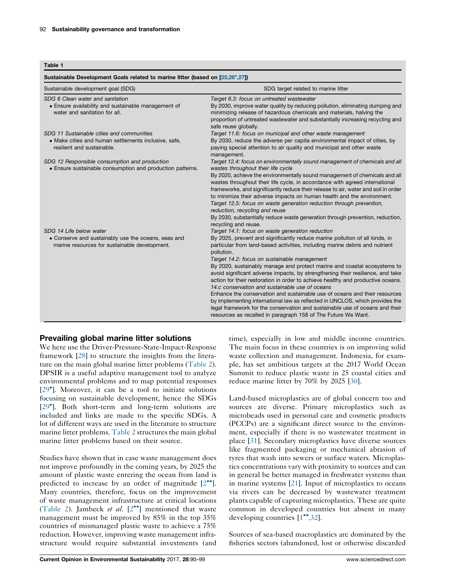<span id="page-2-0"></span>

| `able |  |
|-------|--|
|-------|--|

| Sustainable Development Goals related to marine litter (based on [25,26°,27])<br>Sustainable development goal (SDG)             | SDG target related to marine litter                                                                                                                                                                                                                                                                                                                                                                                                                                                                                                                                                                                                                             |
|---------------------------------------------------------------------------------------------------------------------------------|-----------------------------------------------------------------------------------------------------------------------------------------------------------------------------------------------------------------------------------------------------------------------------------------------------------------------------------------------------------------------------------------------------------------------------------------------------------------------------------------------------------------------------------------------------------------------------------------------------------------------------------------------------------------|
| SDG 6 Clean water and sanitation                                                                                                | Target 6.3: focus on untreated wastewater                                                                                                                                                                                                                                                                                                                                                                                                                                                                                                                                                                                                                       |
| • Ensure availability and sustainable management of<br>water and sanitation for all.                                            | By 2030, improve water quality by reducing pollution, eliminating dumping and<br>minimizing release of hazardous chemicals and materials, halving the<br>proportion of untreated wastewater and substantially increasing recycling and<br>safe reuse globally.                                                                                                                                                                                                                                                                                                                                                                                                  |
| SDG 11 Sustainable cities and communities                                                                                       | Target 11.6: focus on municipal and other waste management                                                                                                                                                                                                                                                                                                                                                                                                                                                                                                                                                                                                      |
| • Make cities and human settlements inclusive, safe,<br>resilient and sustainable.                                              | By 2030, reduce the adverse per capita environmental impact of cities, by<br>paying special attention to air quality and municipal and other waste<br>management.                                                                                                                                                                                                                                                                                                                                                                                                                                                                                               |
| SDG 12 Responsible consumption and production<br>• Ensure sustainable consumption and production patterns.                      | Target 12.4: focus on environmentally sound management of chemicals and all<br>wastes throughout their life cycle                                                                                                                                                                                                                                                                                                                                                                                                                                                                                                                                               |
|                                                                                                                                 | By 2020, achieve the environmentally sound management of chemicals and all<br>wastes throughout their life cycle, in accordance with agreed international<br>frameworks, and significantly reduce their release to air, water and soil in order<br>to minimize their adverse impacts on human health and the environment.<br>Target 12.5: focus on waste generation reduction through prevention,<br>reduction, recycling and reuse<br>By 2030, substantially reduce waste generation through prevention, reduction,<br>recycling and reuse.                                                                                                                    |
| SDG 14 Life below water<br>• Conserve and sustainably use the oceans, seas and<br>marine resources for sustainable development. | Target 14.1: focus on waste generation reduction<br>By 2025, prevent and significantly reduce marine pollution of all kinds, in<br>particular from land-based activities, including marine debris and nutrient<br>pollution.                                                                                                                                                                                                                                                                                                                                                                                                                                    |
|                                                                                                                                 | Target 14.2: focus on sustainable management<br>By 2020, sustainably manage and protect marine and coastal ecosystems to<br>avoid significant adverse impacts, by strengthening their resilience, and take<br>action for their restoration in order to achieve healthy and productive oceans.<br>14.c conservation and sustainable use of oceans<br>Enhance the conservation and sustainable use of oceans and their resources<br>by implementing international law as reflected in UNCLOS, which provides the<br>legal framework for the conservation and sustainable use of oceans and their<br>resources as recalled in paragraph 158 of The Future We Want. |

### Prevailing global marine litter solutions

We here use the Driver-Pressure-State-Impact-Response framework [[28\]](#page-8-0) to structure the insights from the literature on the main global marine litter problems [\(Table](#page-3-0) 2). DPSIR is a useful adaptive management tool to analyze environmental problems and to map potential responses [29 ]. [Moreover,](#page-8-0) it can be a tool to initiate solutions focusing on sustainable development, hence the SDGs [29<sup>\*</sup>]. Both [short-term](#page-8-0) and long-term solutions are included and links are made to the specific SDGs. A lot of different ways are used in the literature to structure marine litter problems. [Table](#page-3-0) 2 structures the main global marine litter problems based on their source.

Studies have shown that in case waste management does not improve profoundly in the coming years, by 2025 the amount of plastic waste entering the ocean from land is predicted to increase by an order of magnitude  $[2^{\bullet\bullet}].$  $[2^{\bullet\bullet}].$ Many countries, therefore, focus on the improvement of waste management infrastructure at critical locations [\(Table](#page-3-0) 2). Jambeck *et al.*  $[2^{\bullet}]$  [mentioned](#page-7-0) that waste management must be improved by 85% in the top 35% countries of mismanaged plastic waste to achieve a 75% reduction. However, improving waste management infrastructure would require substantial investments (and

time), especially in low and middle income countries. The main focus in these countries is on improving solid waste collection and management. Indonesia, for example, has set ambitious targets at the 2017 World Ocean Summit to reduce plastic waste in 25 coastal cities and reduce marine litter by 70% by 2025 [[30\]](#page-8-0).

Land-based microplastics are of global concern too and sources are diverse. Primary microplastics such as microbeads used in personal care and cosmetic products (PCCPs) are a significant direct source to the environment, especially if there is no wastewater treatment in place [[31\]](#page-8-0). Secondary microplastics have diverse sources like fragmented packaging or mechanical abrasion of tyres that wash into sewers or surface waters. Microplastics concentrations vary with proximity to sources and can in general be better managed in freshwater systems than in marine systems [\[21](#page-7-0)]. Input of microplastics to oceans via rivers can be decreased by wastewater treatment plants capable of capturing microplastics. These are quite common in developed countries but absent in many developing countries  $[1^{\bullet\bullet},32]$  $[1^{\bullet\bullet},32]$ .

Sources of sea-based macroplastics are dominated by the fisheries sectors (abandoned, lost or otherwise discarded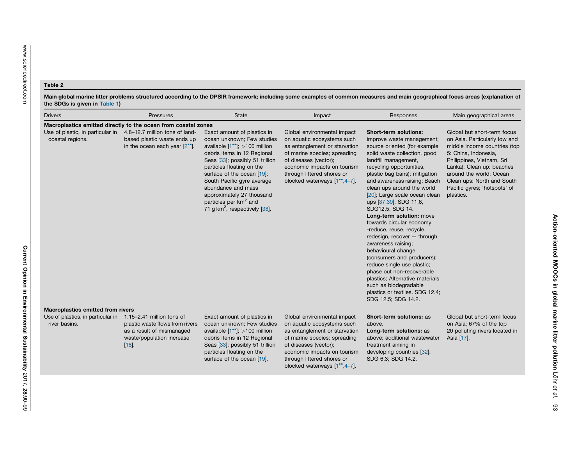#### <span id="page-3-0"></span>Table 2

Main global marine litter problems structured according to the DPSIR framework; including some examples of common measures and main geographical focus areas (explanation of the SDGs is given in [Table](#page-2-0) 1)

| <b>Drivers</b>                                       | <b>Pressures</b>                                                                                                                   | <b>State</b>                                                                                                                                                                                                                                                                                                                                                                                                    | Impact                                                                                                                                                                                                                                          | Responses                                                                                                                                                                                                                                                                                                                                                                                                                                                                                                                                                                                                                                                                                                                                 | Main geographical areas                                                                                                                                                                                                                                                              |
|------------------------------------------------------|------------------------------------------------------------------------------------------------------------------------------------|-----------------------------------------------------------------------------------------------------------------------------------------------------------------------------------------------------------------------------------------------------------------------------------------------------------------------------------------------------------------------------------------------------------------|-------------------------------------------------------------------------------------------------------------------------------------------------------------------------------------------------------------------------------------------------|-------------------------------------------------------------------------------------------------------------------------------------------------------------------------------------------------------------------------------------------------------------------------------------------------------------------------------------------------------------------------------------------------------------------------------------------------------------------------------------------------------------------------------------------------------------------------------------------------------------------------------------------------------------------------------------------------------------------------------------------|--------------------------------------------------------------------------------------------------------------------------------------------------------------------------------------------------------------------------------------------------------------------------------------|
|                                                      | Macroplastics emitted directly to the ocean from coastal zones                                                                     |                                                                                                                                                                                                                                                                                                                                                                                                                 |                                                                                                                                                                                                                                                 |                                                                                                                                                                                                                                                                                                                                                                                                                                                                                                                                                                                                                                                                                                                                           |                                                                                                                                                                                                                                                                                      |
| Use of plastic, in particular in<br>coastal regions. | 4.8-12.7 million tons of land-<br>based plastic waste ends up<br>in the ocean each year $[2^{\bullet\bullet}]$ .                   | Exact amount of plastics in<br>ocean unknown; Few studies<br>available $[1^{\bullet\bullet}]$ ; >100 million<br>debris items in 12 Regional<br>Seas [33]; possibly 51 trillion<br>particles floating on the<br>surface of the ocean [19];<br>South Pacific gyre average<br>abundance and mass<br>approximately 27 thousand<br>particles per km <sup>2</sup> and<br>71 g km <sup>2</sup> , respectively $[38]$ . | Global environmental impact<br>on aquatic ecosystems such<br>as entanglement or starvation<br>of marine species; spreading<br>of diseases (vector);<br>economic impacts on tourism<br>through littered shores or<br>blocked waterways [1*,4-7]. | <b>Short-term solutions:</b><br>improve waste management;<br>source oriented (for example<br>solid waste collection, good<br>landfill management,<br>recycling opportunities,<br>plastic bag bans); mitigation<br>and awareness raising; Beach<br>clean ups around the world<br>[20]; Large scale ocean clean<br>ups [37,39]. SDG 11.6,<br>SDG12.5, SDG 14.<br>Long-term solution: move<br>towards circular economy<br>-reduce, reuse, recycle,<br>redesign, recover - through<br>awareness raising;<br>behavioural change<br>(consumers and producers);<br>reduce single use plastic;<br>phase out non-recoverable<br>plastics; Alternative materials<br>such as biodegradable<br>plastics or textiles. SDG 12.4;<br>SDG 12.5; SDG 14.2. | Global but short-term focus<br>on Asia. Particularly low and<br>middle income countries (top<br>5: China, Indonesia,<br>Philippines, Vietnam, Sri<br>Lanka); Clean up: beaches<br>around the world; Ocean<br>Clean ups: North and South<br>Pacific gyres; 'hotspots' of<br>plastics. |
| <b>Macroplastics emitted from rivers</b>             |                                                                                                                                    |                                                                                                                                                                                                                                                                                                                                                                                                                 |                                                                                                                                                                                                                                                 |                                                                                                                                                                                                                                                                                                                                                                                                                                                                                                                                                                                                                                                                                                                                           |                                                                                                                                                                                                                                                                                      |
| Use of plastics, in particular in<br>river basins.   | 1.15-2.41 million tons of<br>plastic waste flows from rivers<br>as a result of mismanaged<br>waste/population increase<br>$[18]$ . | Exact amount of plastics in<br>ocean unknown; Few studies<br>available $[1^{\bullet\bullet}]$ ; >100 million<br>debris items in 12 Regional<br>Seas [33]; possibly 51 trillion<br>particles floating on the<br>surface of the ocean [19].                                                                                                                                                                       | Global environmental impact<br>on aquatic ecosystems such<br>as entanglement or starvation<br>of marine species; spreading<br>of diseases (vector);<br>economic impacts on tourism<br>through littered shores or<br>blocked waterways [1*,4-7]. | <b>Short-term solutions: as</b><br>above.<br>Long-term solutions: as<br>above; additional wastewater<br>treatment aiming in<br>developing countries [32].<br>SDG 6.3; SDG 14.2.                                                                                                                                                                                                                                                                                                                                                                                                                                                                                                                                                           | Global but short-term focus<br>on Asia; 67% of the top<br>20 polluting rivers located in<br>Asia [17].                                                                                                                                                                               |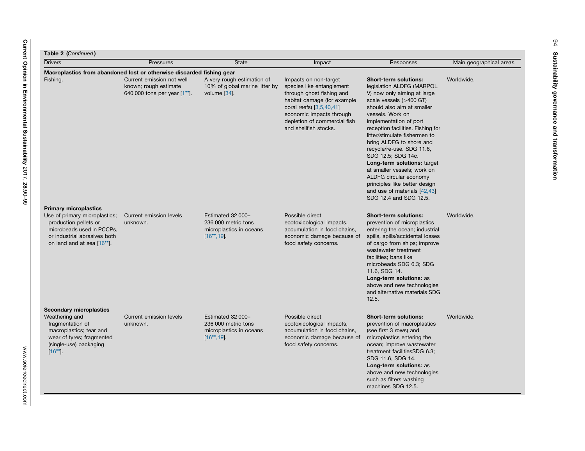| <b>Drivers</b>                                                                                                                                                                                | Pressures                                                                                            | <b>State</b>                                                                                    | Impact                                                                                                                                                                                                                            | Responses                                                                                                                                                                                                                                                                                                                                                                                                                                                                                                                          | Main geographical areas |
|-----------------------------------------------------------------------------------------------------------------------------------------------------------------------------------------------|------------------------------------------------------------------------------------------------------|-------------------------------------------------------------------------------------------------|-----------------------------------------------------------------------------------------------------------------------------------------------------------------------------------------------------------------------------------|------------------------------------------------------------------------------------------------------------------------------------------------------------------------------------------------------------------------------------------------------------------------------------------------------------------------------------------------------------------------------------------------------------------------------------------------------------------------------------------------------------------------------------|-------------------------|
|                                                                                                                                                                                               | Macroplastics from abandoned lost or otherwise discarded fishing gear                                |                                                                                                 |                                                                                                                                                                                                                                   |                                                                                                                                                                                                                                                                                                                                                                                                                                                                                                                                    |                         |
| Fishing.                                                                                                                                                                                      | Current emission not well<br>known; rough estimate<br>640 000 tons per year $[1^{\bullet\bullet}]$ . | A very rough estimation of<br>10% of global marine litter by<br>volume [34].                    | Impacts on non-target<br>species like entanglement<br>through ghost fishing and<br>habitat damage (for example<br>coral reefs) $[3,5,40,41]$<br>economic impacts through<br>depletion of commercial fish<br>and shellfish stocks. | Short-term solutions:<br>legislation ALDFG (MARPOL<br>V) now only aiming at large<br>scale vessels $(>400$ GT)<br>should also aim at smaller<br>vessels. Work on<br>implementation of port<br>reception facilities. Fishing for<br>litter/stimulate fishermen to<br>bring ALDFG to shore and<br>recycle/re-use. SDG 11.6,<br>SDG 12.5; SDG 14c.<br>Long-term solutions: target<br>at smaller vessels; work on<br>ALDFG circular economy<br>principles like better design<br>and use of materials [42,43]<br>SDG 12.4 and SDG 12.5. | Worldwide.              |
| <b>Primary microplastics</b><br>Use of primary microplastics;<br>production pellets or<br>microbeads used in PCCPs,<br>or industrial abrasives both<br>on land and at sea [16 <sup>*</sup> ]. | Current emission levels<br>unknown.                                                                  | Estimated 32 000-<br>236 000 metric tons<br>microplastics in oceans<br>$[16"$ , 19.             | Possible direct<br>ecotoxicological impacts,<br>accumulation in food chains,<br>economic damage because of<br>food safety concerns.                                                                                               | Short-term solutions:<br>prevention of microplastics<br>entering the ocean; industrial<br>spills, spills/accidental losses<br>of cargo from ships; improve<br>wastewater treatment<br>facilities; bans like<br>microbeads SDG 6.3; SDG<br>11.6, SDG 14.<br>Long-term solutions: as<br>above and new technologies<br>and alternative materials SDG<br>12.5.                                                                                                                                                                         | Worldwide.              |
| <b>Secondary microplastics</b><br>Weathering and<br>fragmentation of<br>macroplastics; tear and<br>wear of tyres; fragmented<br>(single-use) packaging<br>$[16^{\circ}]$ .                    | Current emission levels<br>unknown.                                                                  | Estimated 32 000-<br>236 000 metric tons<br>microplastics in oceans<br>$[16$ <sup>*</sup> , 19. | Possible direct<br>ecotoxicological impacts,<br>accumulation in food chains,<br>economic damage because of<br>food safety concerns.                                                                                               | <b>Short-term solutions:</b><br>prevention of macroplastics<br>(see first 3 rows) and<br>microplastics entering the<br>ocean; improve wastewater<br>treatment facilitiesSDG 6.3;<br>SDG 11.6, SDG 14.<br>Long-term solutions: as<br>above and new technologies<br>such as filters washing<br>machines SDG 12.5.                                                                                                                                                                                                                    | Worldwide.              |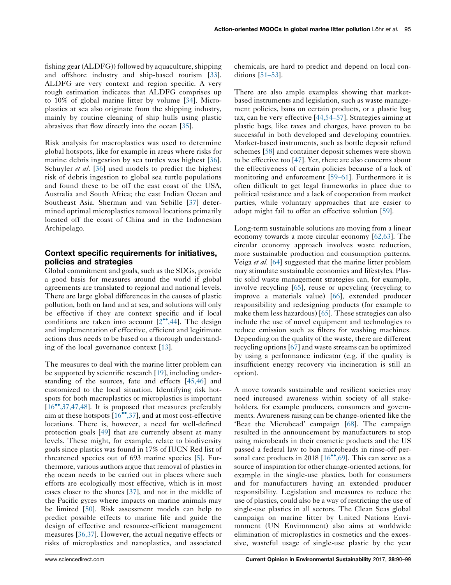fishing gear (ALDFG)) followed by aquaculture, shipping and offshore industry and ship-based tourism [\[33](#page-8-0)]. ALDFG are very context and region specific. A very rough estimation indicates that ALDFG comprises up to 10% of global marine litter by volume [[34\]](#page-8-0). Microplastics at sea also originate from the shipping industry, mainly by routine cleaning of ship hulls using plastic abrasives that flow directly into the ocean [\[35](#page-8-0)].

Risk analysis for macroplastics was used to determine global hotspots, like for example in areas where risks for marine debris ingestion by sea turtles was highest [[36](#page-8-0)]. Schuyler *et al.* [[36](#page-8-0)] used models to predict the highest risk of debris ingestion to global sea turtle populations and found these to be off the east coast of the USA, Australia and South Africa; the east Indian Ocean and Southeast Asia. Sherman and van Sebille [[37\]](#page-8-0) determined optimal microplastics removal locations primarily located off the coast of China and in the Indonesian Archipelago.

# Context specific requirements for initiatives, policies and strategies

Global commitment and goals, such as the SDGs, provide a good basis for measures around the world if global agreements are translated to regional and national levels. There are large global differences in the causes of plastic pollution, both on land and at sea, and solutions will only be effective if they are context specific and if local conditions are taken into account  $[2^{\bullet\bullet},44]$  $[2^{\bullet\bullet},44]$ . The design and implementation of effective, efficient and legitimate actions thus needs to be based on a thorough understanding of the local governance context [\[13](#page-7-0)].

The measures to deal with the marine litter problem can be supported by scientific research [\[19](#page-7-0)], including understanding of the sources, fate and effects [\[45,46\]](#page-8-0) and customized to the local situation. Identifying risk hotspots for both macroplastics or microplastics is important  $[16\text{''}, 37, 47, 48]$ . It is proposed that measures preferably aim at these hotspots  $[16\degree, 37]$ , and at most cost-effective locations. There is, however, a need for well-defined protection goals [[49\]](#page-8-0) that are currently absent at many levels. These might, for example, relate to biodiversity goals since plastics was found in 17% of IUCN Red list of threatened species out of 693 marine species [\[5](#page-7-0)]. Furthermore, various authors argue that removal of plastics in the ocean needs to be carried out in places where such efforts are ecologically most effective, which is in most cases closer to the shores [[37\]](#page-8-0), and not in the middle of the Pacific gyres where impacts on marine animals may be limited [[50\]](#page-8-0). Risk assessment models can help to predict possible effects to marine life and guide the design of effective and resource-efficient management measures [[36,37](#page-8-0)]. However, the actual negative effects or risks of microplastics and nanoplastics, and associated chemicals, are hard to predict and depend on local conditions [[51–53\]](#page-8-0).

There are also ample examples showing that marketbased instruments and legislation, such as waste management policies, bans on certain products, or a plastic bag tax, can be very effective [[44,54–57\]](#page-8-0). Strategies aiming at plastic bags, like taxes and charges, have proven to be successful in both developed and developing countries. Market-based instruments, such as bottle deposit refund schemes [\[58](#page-8-0)] and container deposit schemes were shown to be effective too [[47](#page-8-0)]. Yet, there are also concerns about the effectiveness of certain policies because of a lack of monitoring and enforcement [[59–61\]](#page-8-0). Furthermore it is often difficult to get legal frameworks in place due to political resistance and a lack of cooperation from market parties, while voluntary approaches that are easier to adopt might fail to offer an effective solution [[59\]](#page-8-0).

Long-term sustainable solutions are moving from a linear economy towards a more circular economy [\[62,63\]](#page-9-0). The circular economy approach involves waste reduction, more sustainable production and consumption patterns. Veiga *et al.* [\[64](#page-9-0)] suggested that the marine litter problem may stimulate sustainable economies and lifestyles. Plastic solid waste management strategies can, for example, involve recycling [\[65](#page-9-0)], reuse or upcycling (recycling to improve a materials value) [[66\]](#page-9-0), extended producer responsibility and redesigning products (for example to make them less hazardous) [\[65](#page-9-0)]. These strategies can also include the use of novel equipment and technologies to reduce emission such as filters for washing machines. Depending on the quality of the waste, there are different recycling options [[67\]](#page-9-0) and waste streams can be optimized by using a performance indicator (e.g. if the quality is insufficient energy recovery via incineration is still an option).

A move towards sustainable and resilient societies may need increased awareness within society of all stakeholders, for example producers, consumers and governments. Awareness raising can be change-oriented like the 'Beat the Microbead' campaign [\[68](#page-9-0)]. The campaign resulted in the announcement by manufacturers to stop using microbeads in their cosmetic products and the US passed a federal law to ban microbeads in rinse-off personal care products in 2018  $[16\degree, 69]$ . This can serve as a source of inspiration for other change-oriented actions, for example in the single-use plastics, both for consumers and for manufacturers having an extended producer responsibility. Legislation and measures to reduce the use of plastics, could also be a way of restricting the use of single-use plastics in all sectors. The Clean Seas global campaign on marine litter by United Nations Environment (UN Environment) also aims at worldwide elimination of microplastics in cosmetics and the excessive, wasteful usage of single-use plastic by the year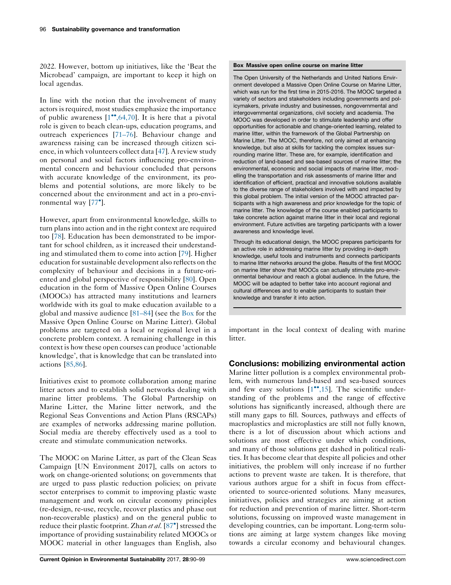2022. However, bottom up initiatives, like the 'Beat the Microbead' campaign, are important to keep it high on local agendas.

In line with the notion that the involvement of many actors is required, most studies emphasize the importance of public awareness  $[1\bullet, 64, 70]$ . It is here that a pivotal role is given to beach clean-ups, education programs, and outreach experiences [\[71–76](#page-9-0)]. Behaviour change and awareness raising can be increased through citizen science, in which volunteers collect data [[47\]](#page-8-0). A review study on personal and social factors influencing pro-environmental concern and behaviour concluded that persons with accurate knowledge of the environment, its problems and potential solutions, are more likely to be concerned about the environment and act in a pro-environmental way [[77](#page-9-0) ].

However, apart from environmental knowledge, skills to turn plans into action and in the right context are required too [\[78](#page-9-0)]. Education has been demonstrated to be important for school children, as it increased their understanding and stimulated them to come into action [[79\]](#page-9-0). Higher education for sustainable development also reflects on the complexity of behaviour and decisions in a future-oriented and global perspective of responsibility [[80\]](#page-9-0). Open education in the form of Massive Open Online Courses (MOOCs) has attracted many institutions and learners worldwide with its goal to make education available to a global and massive audience [[81–84\]](#page-9-0) (see the Box for the Massive Open Online Course on Marine Litter). Global problems are targeted on a local or regional level in a concrete problem context. A remaining challenge in this context is how these open courses can produce 'actionable knowledge', that is knowledge that can be translated into actions [[85,86](#page-9-0)].

Initiatives exist to promote collaboration among marine litter actors and to establish solid networks dealing with marine litter problems. The Global Partnership on Marine Litter, the Marine litter network, and the Regional Seas Conventions and Action Plans (RSCAPs) are examples of networks addressing marine pollution. Social media are thereby effectively used as a tool to create and stimulate communication networks.

The MOOC on Marine Litter, as part of the Clean Seas Campaign [UN Environment 2017], calls on actors to work on change-oriented solutions; on governments that are urged to pass plastic reduction policies; on private sector enterprises to commit to improving plastic waste management and work on circular economy principles (re-design, re-use, recycle, recover plastics and phase out non-recoverable plastics) and on the general public to reduce their plastic footprint. Zhan et al. [87<sup>°</sup>] [stressed](#page-9-0) the importance of providing sustainability related MOOCs or MOOC material in other languages than English, also

#### Box Massive open online course on marine litter

The Open University of the Netherlands and United Nations Environment developed a Massive Open Online Course on Marine Litter, which was run for the first time in 2015-2016. The MOOC targeted a variety of sectors and stakeholders including governments and policymakers, private industry and businesses, nongovernmental and intergovernmental organizations, civil society and academia. The MOOC was developed in order to stimulate leadership and offer opportunities for actionable and change-oriented learning, related to marine litter, within the framework of the Global Partnership on Marine Litter. The MOOC, therefore, not only aimed at enhancing knowledge, but also at skills for tackling the complex issues surrounding marine litter. These are, for example, identification and reduction of land-based and sea-based sources of marine litter; the environmental, economic and social impacts of marine litter, modelling the transportation and risk assessments of marine litter and identification of efficient, practical and innovative solutions available to the diverse range of stakeholders involved with and impacted by this global problem. The initial version of the MOOC attracted participants with a high awareness and prior knowledge for the topic of marine litter. The knowledge of the course enabled participants to take concrete action against marine litter in their local and regional environment. Future activities are targeting participants with a lower awareness and knowledge level.

Through its educational design, the MOOC prepares participants for an active role in addressing marine litter by providing in-depth knowledge, useful tools and instruments and connects participants to marine litter networks around the globe. Results of the first MOOC on marine litter show that MOOCs can actually stimulate pro-environmental behaviour and reach a global audience. In the future, the MOOC will be adapted to better take into account regional and cultural differences and to enable participants to sustain their knowledge and transfer it into action.

important in the local context of dealing with marine litter.

### Conclusions: mobilizing environmental action

Marine litter pollution is a complex environmental problem, with numerous land-based and sea-based sources and few easy solutions  $[1^{\bullet\bullet},15]$  $[1^{\bullet\bullet},15]$  $[1^{\bullet\bullet},15]$ . The scientific understanding of the problems and the range of effective solutions has significantly increased, although there are still many gaps to fill. Sources, pathways and effects of macroplastics and microplastics are still not fully known, there is a lot of discussion about which actions and solutions are most effective under which conditions, and many of those solutions get dashed in political realities. It has become clear that despite all policies and other initiatives, the problem will only increase if no further actions to prevent waste are taken. It is therefore, that various authors argue for a shift in focus from effectoriented to source-oriented solutions. Many measures, initiatives, policies and strategies are aiming at action for reduction and prevention of marine litter. Short-term solutions, focussing on improved waste management in developing countries, can be important. Long-term solutions are aiming at large system changes like moving towards a circular economy and behavioural changes.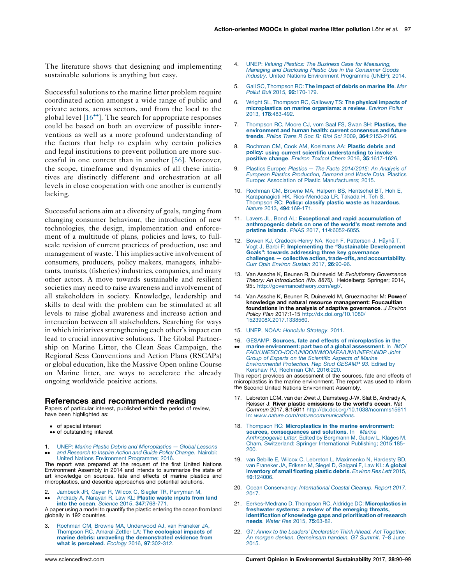<span id="page-7-0"></span>The literature shows that designing and implementing sustainable solutions is anything but easy.

Successful solutions to the marine litter problem require coordinated action amongst a wide range of public and private actors, across sectors, and from the local to the global level  $[16\degree]$ . The search for appropriate responses could be based on both an overview of possible interventions as well as a more profound understanding of the factors that help to explain why certain policies and legal institutions to prevent pollution are more successful in one context than in another [[56](#page-8-0)]. Moreover, the scope, timeframe and dynamics of all these initiatives are distinctly different and orchestration at all levels in close cooperation with one another is currently lacking.

Successful actions aim at a diversity of goals, ranging from changing consumer behaviour, the introduction of new technologies, the design, implementation and enforcement of a multitude of plans, policies and laws, to fullscale revision of current practices of production, use and management of waste. This implies active involvement of consumers, producers, policy makers, managers, inhabitants, tourists, (fisheries) industries, companies, and many other actors. A move towards sustainable and resilient societies may need to raise awareness and involvement of all stakeholders in society. Knowledge, leadership and skills to deal with the problem can be stimulated at all levels to raise global awareness and increase action and interaction between all stakeholders. Searching for ways in which initiatives strengthening each other's impact can lead to crucial innovative solutions. The Global Partnership on Marine Litter, the Clean Seas Campaign, the Regional Seas Conventions and Action Plans (RSCAPs) or global education, like the Massive Open online Course on Marine litter, are ways to accelerate the already ongoing worldwide positive actions.

#### References and recommended reading

Papers of particular interest, published within the period of review, have been highlighted as:

- of special interest
- •• of outstanding interest
- 1. UNEP: Marine Plastic Debris and [Microplastics](http://refhub.elsevier.com/S1877-3435(17)30038-6/sbref0005) — Global Lessons
- $\bullet\bullet$ and [Research](http://refhub.elsevier.com/S1877-3435(17)30038-6/sbref0005) to Inspire Action and Guide Policy Change. Nairobi: United Nations [Environment](http://refhub.elsevier.com/S1877-3435(17)30038-6/sbref0005) Programme; 2016.

The report was prepared at the request of the first United Nations Environment Assembly in 2014 and intends to summarize the state of art knowledge on sources, fate and effects of marine plastics and microplastics, and describe approaches and potential solutions.

- 2. Jambeck JR, Geyer R, Wilcox C, Siegler TR, [Perryman](http://refhub.elsevier.com/S1877-3435(17)30038-6/sbref0010) M,
- $\ddot{\phantom{0}}$ [Andrady](http://refhub.elsevier.com/S1877-3435(17)30038-6/sbref0010) A, Narayan R, Law KL: **Plastic waste inputs from land**<br>**into the ocean**. Science 2015, **347**[:768-771.](http://refhub.elsevier.com/S1877-3435(17)30038-6/sbref0010)

A paper using a model to quantify the plastic entering the ocean from land globally in 192 countries.

3. Rochman CM, Browne MA, [Underwood](http://refhub.elsevier.com/S1877-3435(17)30038-6/sbref0015) AJ, van Franeker JA, Thompson RC, [Amaral-Zettler](http://refhub.elsevier.com/S1877-3435(17)30038-6/sbref0015) LA: The ecological impacts of marine debris: unraveling the [demonstrated](http://refhub.elsevier.com/S1877-3435(17)30038-6/sbref0015) evidence from what is [perceived](http://refhub.elsevier.com/S1877-3435(17)30038-6/sbref0015). Ecology 2016, 97:302-312.

- UNEP: Valuing Plastics: The Business Case for [Measuring,](http://refhub.elsevier.com/S1877-3435(17)30038-6/sbref0020) Managing and Disclosing Plastic Use in the [Consumer](http://refhub.elsevier.com/S1877-3435(17)30038-6/sbref0020) Goods Industry. United Nations [Environment](http://refhub.elsevier.com/S1877-3435(17)30038-6/sbref0020) Programme (UNEP); 2014.
- 5. Gall SC, [Thompson](http://refhub.elsevier.com/S1877-3435(17)30038-6/sbref0025) RC: The impact of debris on marine life. Mar Pollut Bull 2015, **92**[:170-179.](http://refhub.elsevier.com/S1877-3435(17)30038-6/sbref0025)
- 6. Wright SL, [Thompson](http://refhub.elsevier.com/S1877-3435(17)30038-6/sbref0030) RC, Galloway TS: The physical impacts of [microplastics](http://refhub.elsevier.com/S1877-3435(17)30038-6/sbref0030) on marine organisms: a review. Environ Pollut 2013, 178[:483-492.](http://refhub.elsevier.com/S1877-3435(17)30038-6/sbref0030)
- 7. [Thompson](http://refhub.elsevier.com/S1877-3435(17)30038-6/sbref0035) RC, Moore CJ, vom Saal FS, Swan SH: Plastics, the [environment](http://refhub.elsevier.com/S1877-3435(17)30038-6/sbref0035) and human health: current consensus and future trends. Philos Trans R Soc B: Biol Sci 2009, 364[:2153-2166.](http://refhub.elsevier.com/S1877-3435(17)30038-6/sbref0035)
- 8. Rochman CM, Cook AM, [Koelmans](http://refhub.elsevier.com/S1877-3435(17)30038-6/sbref0040) AA: Plastic debris and policy: using current scientific [understanding](http://refhub.elsevier.com/S1877-3435(17)30038-6/sbref0040) to invoke<br>positive change. Environ Toxicol Chem 2016, 35[:1617-1626.](http://refhub.elsevier.com/S1877-3435(17)30038-6/sbref0040)
- 9. Plastics Europe: Plastics The Facts [2014/2015:](http://refhub.elsevier.com/S1877-3435(17)30038-6/sbref0045) An Analysis of European Plastics [Production,](http://refhub.elsevier.com/S1877-3435(17)30038-6/sbref0045) Demand and Waste Data. Plastics Europe: Association of Plastic [Manufacturers;](http://refhub.elsevier.com/S1877-3435(17)30038-6/sbref0045) 2015.
- 10. Rochman CM, Browne MA, Halpern BS, [Hentschel](http://refhub.elsevier.com/S1877-3435(17)30038-6/sbref0050) BT, Hoh E, Karapanagioti HK, [Rios-Mendoza](http://refhub.elsevier.com/S1877-3435(17)30038-6/sbref0050) LR, Takada H, Teh S, Thompson RC: Policy: classify plastic waste as [hazardous](http://refhub.elsevier.com/S1877-3435(17)30038-6/sbref0050). Nature 2013, 494[:169-171.](http://refhub.elsevier.com/S1877-3435(17)30038-6/sbref0050)
- 11. Lavers JL, Bond AL: Exceptional and rapid [accumulation](http://refhub.elsevier.com/S1877-3435(17)30038-6/sbref0055) of [anthropogenic](http://refhub.elsevier.com/S1877-3435(17)30038-6/sbref0055) debris on one of the world's most remote and pristine islands. PNAS 2017, 114[:6052-6055.](http://refhub.elsevier.com/S1877-3435(17)30038-6/sbref0055)
- 12. Bowen KJ, [Cradock-Henry](http://refhub.elsevier.com/S1877-3435(17)30038-6/sbref0060) NA, Koch F, Patterson J, Häyhä T, Vogt J, Barbi F: [Implementing](http://refhub.elsevier.com/S1877-3435(17)30038-6/sbref0060) the "Sustainable Development Goals": towards addressing three key [governance](http://refhub.elsevier.com/S1877-3435(17)30038-6/sbref0060) challenges — collective action, trade-offs, and [accountability](http://refhub.elsevier.com/S1877-3435(17)30038-6/sbref0060). Curr Opin [Environ](http://refhub.elsevier.com/S1877-3435(17)30038-6/sbref0060) Sustain 2017, 26:90-96.
- 13. Van Assche K, Beunen R, Duineveld M: Evolutionary Governance Theory: An Introduction (No. 8876). Heidelberg: Springer; 2014, 95:. [http://governancetheory.com/egt/.](http://governancetheory.com/egt/)
- 14. Van Assche K, Beunen R, Duineveld M, Gruezmacher M: Power/ knowledge and natural resource management: Foucaultian foundations in the analysis of adaptive governance. J Environ Policy Plan 2017:1-15 [http://dx.doi.org/10.1080/](http://dx.doi.org/10.1080/1523908X.2017.1338560) [1523908X.2017.1338560.](http://dx.doi.org/10.1080/1523908X.2017.1338560)
- 15. UNEP, NOAA: [Honolulu](http://refhub.elsevier.com/S1877-3435(17)30038-6/sbref0075) Strategy. 2011.
- 16. GESAMP: Sources, fate and effects of [microplastics](http://refhub.elsevier.com/S1877-3435(17)30038-6/sbref0080) in the
- $\ddot{\phantom{0}}$ marine [environment:](http://refhub.elsevier.com/S1877-3435(17)30038-6/sbref0080) part two of a global assessment. In IMO/ [FAO/UNESCO-IOC/UNIDO/WMO/IAEA/UN/UNEP/UNDP](http://refhub.elsevier.com/S1877-3435(17)30038-6/sbref0080) Joint Group of Experts on the [Scientific](http://refhub.elsevier.com/S1877-3435(17)30038-6/sbref0080) Aspects of Marine [Environmental](http://refhub.elsevier.com/S1877-3435(17)30038-6/sbref0080) Protection. Rep Stud GESAMP 93. Edited by Kershaw PJ, [Rochman](http://refhub.elsevier.com/S1877-3435(17)30038-6/sbref0080) CM. 2016:220.

This report provides an assessment of the sources, fate and effects of microplastics in the marine environment. The report was used to inform the Second United Nations Environment Assembly.

- 17. Lebreton LCM, van der Zwet J, Damsteeg J-W, Slat B, Andrady A, Reisser J: River plastic emissions to the world's ocean. Nat Commun 2017, 8:15611 <http://dx.doi.org/10.1038/ncomms15611> In: [www.nature.com/naturecommunications](http://www.nature.com/naturecommunications).
- 18. Thompson RC: [Microplastics](http://refhub.elsevier.com/S1877-3435(17)30038-6/sbref0090) in the marine environment: sources, [consequences](http://refhub.elsevier.com/S1877-3435(17)30038-6/sbref0090) and solutions. In Marine [Anthropogenic](http://refhub.elsevier.com/S1877-3435(17)30038-6/sbref0090) Litter. Edited by Bergmann M, Gutow L, Klages M. Cham, Switzerland: Springer [International](http://refhub.elsevier.com/S1877-3435(17)30038-6/sbref0090) Publishing; 2015:185- [200](http://refhub.elsevier.com/S1877-3435(17)30038-6/sbref0090).
- 19. van Sebille E, Wilcox C, Lebreton L, [Maximenko](http://refhub.elsevier.com/S1877-3435(17)30038-6/sbref0095) N, Hardesty BD, van [Franeker](http://refhub.elsevier.com/S1877-3435(17)30038-6/sbref0095) JA, Eriksen M, Siegel D, Galgani F, Law KL: A global [inventory](http://refhub.elsevier.com/S1877-3435(17)30038-6/sbref0095) of small floating plastic debris. Environ Res Lett 2015, 10[:124006.](http://refhub.elsevier.com/S1877-3435(17)30038-6/sbref0095)
- 20. Ocean [Conservancy:](http://refhub.elsevier.com/S1877-3435(17)30038-6/sbref0100) International Coastal Cleanup. Report 2017. [2017.](http://refhub.elsevier.com/S1877-3435(17)30038-6/sbref0100)
- 21. [Eerkes-Medrano](http://refhub.elsevier.com/S1877-3435(17)30038-6/sbref0105) D, Thompson RC, Aldridge DC: Microplastics in [freshwater](http://refhub.elsevier.com/S1877-3435(17)30038-6/sbref0105) systems: a review of the emerging threats, [identification](http://refhub.elsevier.com/S1877-3435(17)30038-6/sbref0105) of knowledge gaps and prioritisation of research needs. Water Res 2015, 75[:63-82.](http://refhub.elsevier.com/S1877-3435(17)30038-6/sbref0105)
- 22. G7: Annex to the Leaders' [Declaration](http://refhub.elsevier.com/S1877-3435(17)30038-6/sbref0110) Think Ahead. Act Together. An morgen denken. [Gemeinsam](http://refhub.elsevier.com/S1877-3435(17)30038-6/sbref0110) handeln. G7 Summit. 7–8 June [2015.](http://refhub.elsevier.com/S1877-3435(17)30038-6/sbref0110)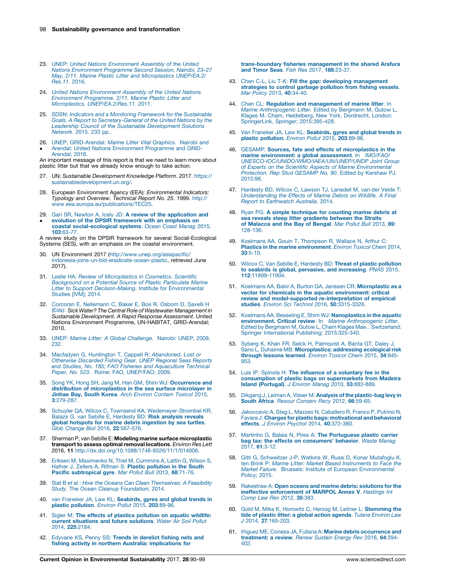- <span id="page-8-0"></span>23. UNEP: United Nations [Environment](http://refhub.elsevier.com/S1877-3435(17)30038-6/sbref0115) Assembly of the United Nations [Environment](http://refhub.elsevier.com/S1877-3435(17)30038-6/sbref0115) Programme Second Session, Nairobi, 23–27 May, 2/11. Marine Plastic Litter and [Microplastics](http://refhub.elsevier.com/S1877-3435(17)30038-6/sbref0115) UNEP/EA.2/ [Res.11](http://refhub.elsevier.com/S1877-3435(17)30038-6/sbref0115). 2016.
- 24. United Nations [Environment](http://refhub.elsevier.com/S1877-3435(17)30038-6/sbref0120) Assembly of the United Nations [Environment](http://refhub.elsevier.com/S1877-3435(17)30038-6/sbref0120) Programme. 2/11. Marine Plastic Litter and Microplastics. [UNEP/EA.2/Res.11](http://refhub.elsevier.com/S1877-3435(17)30038-6/sbref0120). 2011.
- 25. SDSN: Indicators and a Monitoring Framework for the [Sustainable](http://refhub.elsevier.com/S1877-3435(17)30038-6/sbref0125) Goals. A Report to [Secretary-General](http://refhub.elsevier.com/S1877-3435(17)30038-6/sbref0125) of the United Nations by the Leadership Council of the Sustainable [Development](http://refhub.elsevier.com/S1877-3435(17)30038-6/sbref0125) Solutions [Network](http://refhub.elsevier.com/S1877-3435(17)30038-6/sbref0125). 2015. 233 pp..
- 26. UNEP, [GRID-Arendal:](http://refhub.elsevier.com/S1877-3435(17)30038-6/sbref0130) *Marine Litter Vital Graphics*. Nairobi and
- $\bullet$ Arendal: United Nations [Environment](http://refhub.elsevier.com/S1877-3435(17)30038-6/sbref0130) Programme and GRID-[Arendal;](http://refhub.elsevier.com/S1877-3435(17)30038-6/sbref0130) 2016.

An important message of this report is that we need to learn more about plastic litter but that we already know enough to take action.

- 27. UN: Sustainable Development Knowledge Platform. 2017. [https://](https://sustainabledevelopment.un.org/) [sustainabledevelopment.un.org/.](https://sustainabledevelopment.un.org/)
- 28. European Environment Agency (EEA): Environmental Indicators: Typology and Overview. Technical Report No. 25. 1999. [http://](http://www.eea.europa.eu/publications/TEC25) [www.eea.europa.eu/publications/TEC25](http://www.eea.europa.eu/publications/TEC25).
- 29. Gari SR, Newton A, Icely JD: A review of the [application](http://refhub.elsevier.com/S1877-3435(17)30038-6/sbref0145) and  $\bullet$ evolution of the DPSIR [framework](http://refhub.elsevier.com/S1877-3435(17)30038-6/sbref0145) with an emphasis on coastal [social-ecological](http://refhub.elsevier.com/S1877-3435(17)30038-6/sbref0145) systems. Ocean Coast Manag 2015, 103[:63-77.](http://refhub.elsevier.com/S1877-3435(17)30038-6/sbref0145)

A review study on the DPSIR framework for several Social-Ecological Systems (SES), with an emphasis on the coastal environment.

- 30. UN Environment 2017 ([http://www.unep.org/asiapacific/](http://www.unep.org/asiapacific/indonesia-joins-un-bid-eradicate-ocean-plastic) [indonesia-joins-un-bid-eradicate-ocean-plastic,](http://www.unep.org/asiapacific/indonesia-joins-un-bid-eradicate-ocean-plastic) retrieved June 2017).
- 31. Leslie HA: Review of [Microplastics](http://refhub.elsevier.com/S1877-3435(17)30038-6/sbref0155) in Cosmetics. Scientific [Background](http://refhub.elsevier.com/S1877-3435(17)30038-6/sbref0155) on a Potential Source of Plastic Particulate Marine Litter to Support [Decision-Making](http://refhub.elsevier.com/S1877-3435(17)30038-6/sbref0155). Institute for Environmental [Studies](http://refhub.elsevier.com/S1877-3435(17)30038-6/sbref0155) [IVM]; 2014.
- 32. Corcoran E, [Nellemann](http://refhub.elsevier.com/S1877-3435(17)30038-6/sbref0160) C, Baker E, Bos R, Osborn D, Savelli H (Eds): Sick Water? The Central Role of Wastewater [Management](http://refhub.elsevier.com/S1877-3435(17)30038-6/sbref0160) in Sustainable [Development.](http://refhub.elsevier.com/S1877-3435(17)30038-6/sbref0160) A Rapid Response Assessment. United Nations Environment Programme, UN-HABITAT, GRID-Arendal; 2010.
- 33. UNEP: Marine Litter: A Global [Challenge](http://refhub.elsevier.com/S1877-3435(17)30038-6/sbref0165). Nairobi: UNEP; 2009, [232.](http://refhub.elsevier.com/S1877-3435(17)30038-6/sbref0165)
- 34. Macfadyen G, Huntington T, Cappell R: [Abandoned,](http://refhub.elsevier.com/S1877-3435(17)30038-6/sbref0170) Lost or Otherwise [Discarded](http://refhub.elsevier.com/S1877-3435(17)30038-6/sbref0170) Fishing Gear. UNEP Regional Seas Reports and Studies, No. 185; FAO Fisheries and [Aquaculture](http://refhub.elsevier.com/S1877-3435(17)30038-6/sbref0170) Technical Paper, No. 523. Rome: FAO, [UNEP/FAO;](http://refhub.elsevier.com/S1877-3435(17)30038-6/sbref0170) 2009.
- 35. Song YK, Hong SH, Jang M, Han GM, Shim WJ: [Occurrence](http://refhub.elsevier.com/S1877-3435(17)30038-6/sbref0175) and distribution of [microplastics](http://refhub.elsevier.com/S1877-3435(17)30038-6/sbref0175) in the sea surface microlayer in Jinhae Bay, South Korea. Arch Environ [Contam](http://refhub.elsevier.com/S1877-3435(17)30038-6/sbref0175) Toxicol 2015, 3[:279-287.](http://refhub.elsevier.com/S1877-3435(17)30038-6/sbref0175)
- 36. Schuyler QA, Wilcox C, Townsend KA, [Wedemeyer-Strombel](http://refhub.elsevier.com/S1877-3435(17)30038-6/sbref0180) KR, Balazs G, van Sebille E, [Hardesty](http://refhub.elsevier.com/S1877-3435(17)30038-6/sbref0180) BD: Risk analysis reveals global hotspots for marine debris [ingestion](http://refhub.elsevier.com/S1877-3435(17)30038-6/sbref0180) by sea turtles. Glob Change Biol 2016, 22[:567-576.](http://refhub.elsevier.com/S1877-3435(17)30038-6/sbref0180)
- 37. Sherman P, van Sebille E: Modeling marine surface microplastic transport to assess optimal removal locations. Environ Res Lett 2016, 11 [http://dx.doi.org/10.1088/1748-9326/11/1/014006.](http://dx.doi.org/10.1088/1748-9326/11/1/014006)
- 38. Eriksen M, [Maximenko](http://refhub.elsevier.com/S1877-3435(17)30038-6/sbref0190) N, Thiel M, Cummins A, Lattin G, Wilson S, Hafner J, Zellers A, Rifman S: Plastic [pollution](http://refhub.elsevier.com/S1877-3435(17)30038-6/sbref0190) in the South Pacific [subtropical](http://refhub.elsevier.com/S1877-3435(17)30038-6/sbref0190) gyre. Mar Pollut Bull 2013, 68:71-76.
- 39. Slat B et al.: How the Oceans Can Clean [Themselves:](http://refhub.elsevier.com/S1877-3435(17)30038-6/sbref0195) A Feasibility Study. The Ocean Cleanup [Foundation;](http://refhub.elsevier.com/S1877-3435(17)30038-6/sbref0195) 2014.
- 40. van Franeker JA, Law KL: [Seabirds,](http://refhub.elsevier.com/S1877-3435(17)30038-6/sbref0200) gyres and global trends in plastic [pollution](http://refhub.elsevier.com/S1877-3435(17)30038-6/sbref0200). Environ Pollut 2015, 203:89-96.
- 41. Sigler M: The effects of plastics [pollution](http://refhub.elsevier.com/S1877-3435(17)30038-6/sbref0205) on aquatic wildlife: current [situations](http://refhub.elsevier.com/S1877-3435(17)30038-6/sbref0205) and future solutions. Water Air Soil Pollut 2014, 225[:2184.](http://refhub.elsevier.com/S1877-3435(17)30038-6/sbref0205)
- 42. [Edyvane](http://refhub.elsevier.com/S1877-3435(17)30038-6/sbref0210) KS, Penny SS: Trends in derelict fishing nets and fishing activity in northern Australia: [implications](http://refhub.elsevier.com/S1877-3435(17)30038-6/sbref0210) for

[trans-boundary](http://refhub.elsevier.com/S1877-3435(17)30038-6/sbref0210) fisheries management in the shared Arafura and Timor Seas. Fish Res 2017, 188[:23-37.](http://refhub.elsevier.com/S1877-3435(17)30038-6/sbref0210)

- 43. Chen C-L, Liu T-K: Fill the gap: developing [management](http://refhub.elsevier.com/S1877-3435(17)30038-6/sbref0215) [strategies](http://refhub.elsevier.com/S1877-3435(17)30038-6/sbref0215) to control garbage pollution from fishing vessels. Mar Policy 2013, 40[:34-40.](http://refhub.elsevier.com/S1877-3435(17)30038-6/sbref0215)
- 44. Chen CL: Regulation and [management](http://refhub.elsevier.com/S1877-3435(17)30038-6/sbref0220) of marine litter. In<br>Marine [Anthropogenic](http://refhub.elsevier.com/S1877-3435(17)30038-6/sbref0220) Litter. Edited by Bergmann M, Gutow L, Klages M. Cham, [Heidelberg,](http://refhub.elsevier.com/S1877-3435(17)30038-6/sbref0220) New York, Dordrecht, London: SpringerLink, Springer; [2015:395-428.](http://refhub.elsevier.com/S1877-3435(17)30038-6/sbref0220)
- 45. Van Franeker JA, Law KL: [Seabirds,](http://refhub.elsevier.com/S1877-3435(17)30038-6/sbref0225) gyres and global trends in plastic [pollution](http://refhub.elsevier.com/S1877-3435(17)30038-6/sbref0225). Environ Pollut 2015, 203:89-96.
- 46. GESAMP: Sources, fate and effects of [microplastics](http://refhub.elsevier.com/S1877-3435(17)30038-6/sbref0230) in the marine [environment:](http://refhub.elsevier.com/S1877-3435(17)30038-6/sbref0230) a global assessment. In IMO/FAO/ [UNESCO-IOC/UNIDO/WMO/IAEA/UN/UNEP/UNDP](http://refhub.elsevier.com/S1877-3435(17)30038-6/sbref0230) Joint Group of Experts on the Scientific Aspects of Marine [Environmental](http://refhub.elsevier.com/S1877-3435(17)30038-6/sbref0230) [Protection.](http://refhub.elsevier.com/S1877-3435(17)30038-6/sbref0230) Rep Stud GESAMP No. 90. Edited by Kershaw PJ. [2015:96](http://refhub.elsevier.com/S1877-3435(17)30038-6/sbref0230).
- 47. [Hardesty](http://refhub.elsevier.com/S1877-3435(17)30038-6/sbref0235) BD, Wilcox C, Lawson TJ, Lansdell M, van der Velde T: [Understanding](http://refhub.elsevier.com/S1877-3435(17)30038-6/sbref0235) the Effects of Marine Debris on Wildlife. A Final Report to [Earthwatch](http://refhub.elsevier.com/S1877-3435(17)30038-6/sbref0235) Australia. 2014.
- 48. Ryan PG: A simple [technique](http://refhub.elsevier.com/S1877-3435(17)30038-6/sbref0240) for counting marine debris at sea reveals steep litter [gradients](http://refhub.elsevier.com/S1877-3435(17)30038-6/sbref0240) between the Straits of [Malacca](http://refhub.elsevier.com/S1877-3435(17)30038-6/sbref0240) and the Bay of Bengal. Mar Pollut Bull 2013, 69: [128-136.](http://refhub.elsevier.com/S1877-3435(17)30038-6/sbref0240)
- 49. Koelmans AA, Gouin T, [Thompson](http://refhub.elsevier.com/S1877-3435(17)30038-6/sbref0245) R, Wallace N, Arthur C: Plastics in the marine [environment](http://refhub.elsevier.com/S1877-3435(17)30038-6/sbref0245). Environ Toxicol Chem 2014, 33[:5-10.](http://refhub.elsevier.com/S1877-3435(17)30038-6/sbref0245)
- 50. Wilcox C, Van Sebille E, Hardesty BD: Threat of plastic [pollution](http://refhub.elsevier.com/S1877-3435(17)30038-6/sbref0250) to seabirds is global, pervasive, and [increasing](http://refhub.elsevier.com/S1877-3435(17)30038-6/sbref0250). PNAS 2015,<br>112[:11899-11904.](http://refhub.elsevier.com/S1877-3435(17)30038-6/sbref0250)
- 51. Koelmans AA, Bakir A, Burton GA, Janssen CR: [Microplastic](http://refhub.elsevier.com/S1877-3435(17)30038-6/sbref0255) as a vector for chemicals in the aquatic [environment:](http://refhub.elsevier.com/S1877-3435(17)30038-6/sbref0255) critical review and [model-supported](http://refhub.elsevier.com/S1877-3435(17)30038-6/sbref0255) re-interpretation of empirical studies. Environ Sci Technol 2016, 50[:3315-3326.](http://refhub.elsevier.com/S1877-3435(17)30038-6/sbref0255)
- 52. Koelmans AA, Besseling E, Shim WJ: [Nanoplastics](http://refhub.elsevier.com/S1877-3435(17)30038-6/sbref0260) in the aquatic environment. Critical review. In Marine [Anthropogenic](http://refhub.elsevier.com/S1877-3435(17)30038-6/sbref0260) Litter.<br>Edited by Bergmann M, Gutow L, Cham Klages Mae .. [Switzerland:](http://refhub.elsevier.com/S1877-3435(17)30038-6/sbref0260) Springer International Publishing; [2015:325-340.](http://refhub.elsevier.com/S1877-3435(17)30038-6/sbref0260)
- 53. Syberg K, Khan FR, Selck H, [Palmqvist](http://refhub.elsevier.com/S1877-3435(17)30038-6/sbref0265) A, Banta GT, Daley J, Sano L, Duhaime MB: [Microplastics:](http://refhub.elsevier.com/S1877-3435(17)30038-6/sbref0265) addressing ecological risk<br>[through](http://refhub.elsevier.com/S1877-3435(17)30038-6/sbref0265) lessons learned. Environ Toxicol Chem 2015, 34:945-[953.](http://refhub.elsevier.com/S1877-3435(17)30038-6/sbref0265)
- 54. Luis IP, Spinola H: The influence of a [voluntary](http://refhub.elsevier.com/S1877-3435(17)30038-6/sbref0270) fee in the consumption of plastic bags on [supermarkets](http://refhub.elsevier.com/S1877-3435(17)30038-6/sbref0270) from Madeira Island [\(Portugal\)](http://refhub.elsevier.com/S1877-3435(17)30038-6/sbref0270). J Environ Manag 2010, 53:883-889.
- 55. Dikgang J, Leiman A, Visser M: Analysis of the [plastic-bag](http://refhub.elsevier.com/S1877-3435(17)30038-6/sbref0275) levy in South Africa. Resour [Conserv](http://refhub.elsevier.com/S1877-3435(17)30038-6/sbref0275) Recy 2012, 66:59-65.
- 56. [Jakovcevic](http://refhub.elsevier.com/S1877-3435(17)30038-6/sbref0280) A, Steg L, Mazzeo N, Caballero R, Franco P, Putrino N, Favara J: Charges for plastic bags: [motivational](http://refhub.elsevier.com/S1877-3435(17)30038-6/sbref0280) and behavioral effects. J Environ Psychol 2014, 40[:372-380.](http://refhub.elsevier.com/S1877-3435(17)30038-6/sbref0280)
- 57. Martinho G, Balaia N, Pires A: The [Portuguese](http://refhub.elsevier.com/S1877-3435(17)30038-6/sbref0285) plastic carrier bag tax: the effects on [consumers'](http://refhub.elsevier.com/S1877-3435(17)30038-6/sbref0285) behavior. Waste Manag 2017, 61[:3-12.](http://refhub.elsevier.com/S1877-3435(17)30038-6/sbref0285)
- 58. Gitti G, [Schweitzer](http://refhub.elsevier.com/S1877-3435(17)30038-6/sbref0290) J-P, Watkins W, Russi D, Konar Mutafoglu K, ten Brink P: Marine Litter: Market Based [Instruments](http://refhub.elsevier.com/S1877-3435(17)30038-6/sbref0290) to Face the Market Failure. Brussels: Institute of European [Environmental](http://refhub.elsevier.com/S1877-3435(17)30038-6/sbref0290) [Policy;](http://refhub.elsevier.com/S1877-3435(17)30038-6/sbref0290) 2015.
- 59. [Rakestraw](http://refhub.elsevier.com/S1877-3435(17)30038-6/sbref0295) A: Open oceans and marine debris: solutions for the ineffective [enforcement](http://refhub.elsevier.com/S1877-3435(17)30038-6/sbref0295) of MARPOL Annex V. Hastings Int [Comp](http://refhub.elsevier.com/S1877-3435(17)30038-6/sbref0295) Law Rev 2012, 35:383.
- 60. Gold M, Mika K, Horowitz C, Herzog M, Leitner L: [Stemming](http://refhub.elsevier.com/S1877-3435(17)30038-6/sbref0300) the tide of plastic litter: a global action [agenda](http://refhub.elsevier.com/S1877-3435(17)30038-6/sbref0300). Tulane Environ Law J 2014, 27[:165-203.](http://refhub.elsevier.com/S1877-3435(17)30038-6/sbref0300)
- 61. Iñiguez ME, Conesa JA, Fullana A: Marine debris [occurrence](http://refhub.elsevier.com/S1877-3435(17)30038-6/sbref0305) and [treatment:](http://refhub.elsevier.com/S1877-3435(17)30038-6/sbref0305) a review. Renew Sustain Energy Rev 2016, 64:394- [402.](http://refhub.elsevier.com/S1877-3435(17)30038-6/sbref0305)